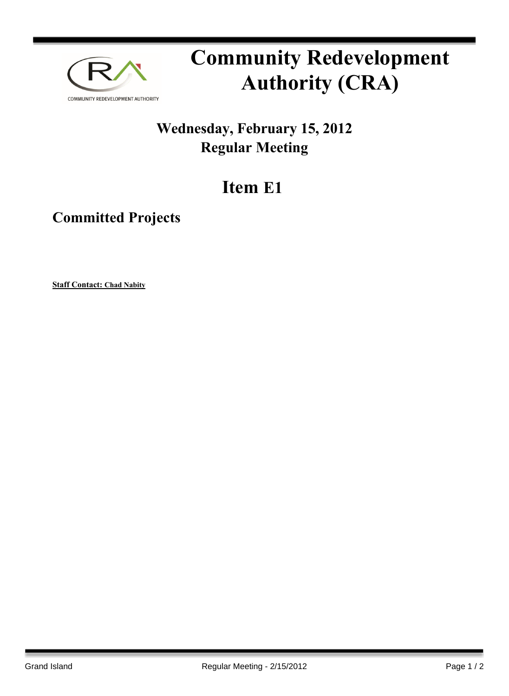

## **Community Redevelopment Authority (CRA)**

## **Wednesday, February 15, 2012 Regular Meeting**

## **Item E1**

## **Committed Projects**

**Staff Contact: Chad Nabity**